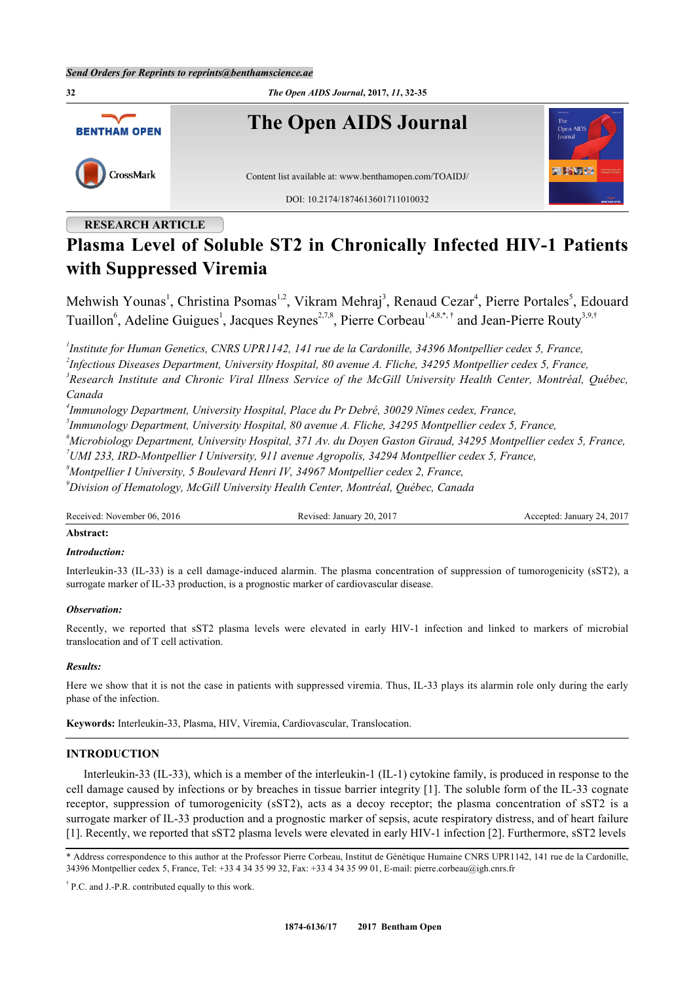

## **RESEARCH ARTICLE**

# **Plasma Level of Soluble ST2 in Chronically Infected HIV-1 Patients with Suppressed Viremia**

Mehwish Younas<sup>[1](#page-0-0)</sup>, Christina Psomas<sup>[1,](#page-0-0)[2](#page-0-1)</sup>, Vikram Mehraj<sup>[3](#page-0-2)</sup>, Renaud Cezar<sup>[4](#page-0-3)</sup>, Pierre Portales<sup>[5](#page-0-4)</sup>, Edouard Tuaillon<sup>[6](#page-0-5)</sup>, Adeline Guigues<sup>[1](#page-0-0)</sup>, Jacques Reynes<sup>[2,](#page-0-1)[7](#page-0-6)[,8](#page-0-7)</sup>, Pierre Corbeau<sup>1[,4](#page-0-3),8,[\\*](#page-0-8),[†](#page--1-0)</sup> and Jean-Pierre Routy<sup>[3](#page-0-2)[,9](#page-0-9)[,†](#page--1-0)</sup>

<span id="page-0-0"></span>*1 Institute for Human Genetics, CNRS UPR1142, 141 rue de la Cardonille, 34396 Montpellier cedex 5, France,*

<span id="page-0-1"></span>*2 Infectious Diseases Department, University Hospital, 80 avenue A. Fliche, 34295 Montpellier cedex 5, France,*

<span id="page-0-2"></span>*3 Research Institute and Chronic Viral Illness Service of the McGill University Health Center, Montréal, Québec, Canada*

<span id="page-0-3"></span>*4 Immunology Department, University Hospital, Place du Pr Debré, 30029 Nîmes cedex, France,*

<span id="page-0-4"></span>*5 Immunology Department, University Hospital, 80 avenue A. Fliche, 34295 Montpellier cedex 5, France,*

<span id="page-0-5"></span>*<sup>6</sup>Microbiology Department, University Hospital, 371 Av. du Doyen Gaston Giraud, 34295 Montpellier cedex 5, France,*

<span id="page-0-6"></span>*<sup>7</sup>UMI 233, IRD-Montpellier I University, 911 avenue Agropolis, 34294 Montpellier cedex 5, France,*

<span id="page-0-7"></span>*<sup>8</sup>Montpellier I University, 5 Boulevard Henri IV, 34967 Montpellier cedex 2, France,*

<span id="page-0-9"></span>*<sup>9</sup>Division of Hematology, McGill University Health Center, Montréal, Québec, Canada*

Received: November 06, 2016 Revised: January 20, 2017 Accepted: January 24, 2017

### **Abstract:**

### *Introduction:*

Interleukin-33 (IL-33) is a cell damage-induced alarmin. The plasma concentration of suppression of tumorogenicity (sST2), a surrogate marker of IL-33 production, is a prognostic marker of cardiovascular disease.

## *Observation:*

Recently, we reported that sST2 plasma levels were elevated in early HIV-1 infection and linked to markers of microbial translocation and of T cell activation.

### *Results:*

Here we show that it is not the case in patients with suppressed viremia. Thus, IL-33 plays its alarmin role only during the early phase of the infection.

**Keywords:** Interleukin-33, Plasma, HIV, Viremia, Cardiovascular, Translocation.

## **INTRODUCTION**

Interleukin-33 (IL-33), which is a member of the interleukin-1 (IL-1) cytokine family, is produced in response to the cell damage caused by infections or by breaches in tissue barrier integrity [[1\]](#page-3-0). The soluble form of the IL-33 cognate receptor, suppression of tumorogenicity (sST2), acts as a decoy receptor; the plasma concentration of sST2 is a surrogate marker of IL-33 production and a prognostic marker of sepsis, acute respiratory distress, and of heart failure [\[1](#page-3-0)]. Recently, we reported that sST2 plasma levels were elevated in early HIV-1 infection [[2\]](#page-3-1). Furthermore, sST2 levels

<span id="page-0-8"></span>\* Address correspondence to this author at the Professor Pierre Corbeau, Institut de Génétique Humaine CNRS UPR1142, 141 rue de la Cardonille, 34396 Montpellier cedex 5, France, Tel: +33 4 34 35 99 32, Fax: +33 4 34 35 99 01, E-mail: [pierre.corbeau@igh.cnrs.fr](mailto:pierre.corbeau@igh.cnrs.fr)

† P.C. and J.-P.R. contributed equally to this work.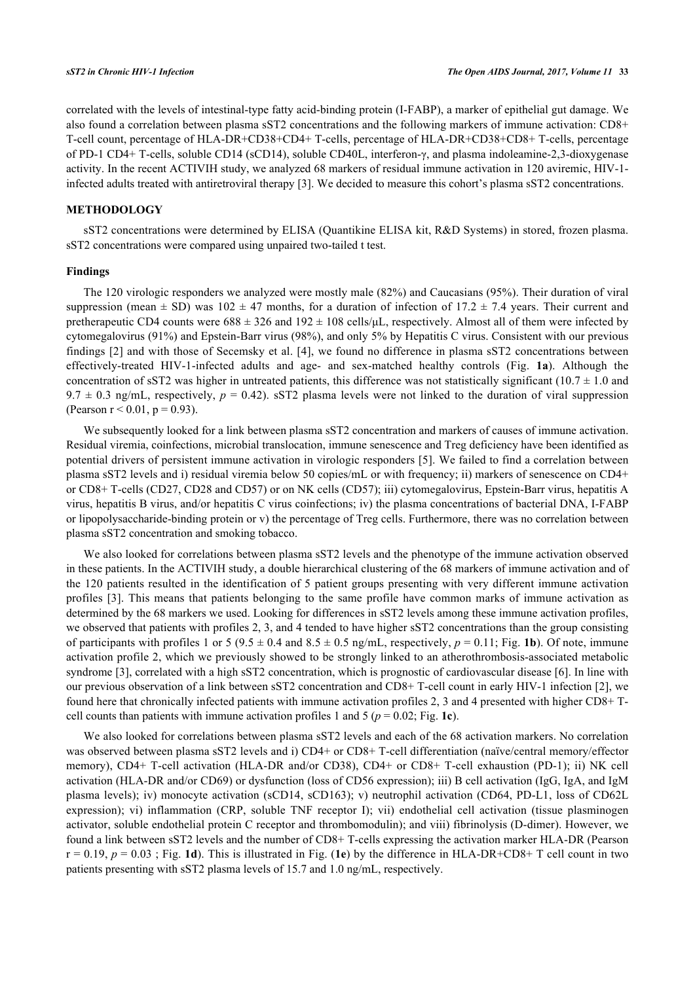correlated with the levels of intestinal-type fatty acid-binding protein (I-FABP), a marker of epithelial gut damage. We also found a correlation between plasma sST2 concentrations and the following markers of immune activation: CD8+ T-cell count, percentage of HLA-DR+CD38+CD4+ T-cells, percentage of HLA-DR+CD38+CD8+ T-cells, percentage of PD-1 CD4+ T-cells, soluble CD14 (sCD14), soluble CD40L, interferon-γ, and plasma indoleamine-2,3-dioxygenase activity. In the recent ACTIVIH study, we analyzed 68 markers of residual immune activation in 120 aviremic, HIV-1 infected adults treated with antiretroviral therapy [\[3](#page-3-2)]. We decided to measure this cohort's plasma sST2 concentrations.

## **METHODOLOGY**

sST2 concentrations were determined by ELISA (Quantikine ELISA kit, R&D Systems) in stored, frozen plasma. sST2 concentrations were compared using unpaired two-tailed t test.

#### **Findings**

The 120 virologic responders we analyzed were mostly male (82%) and Caucasians (95%). Their duration of viral suppression (mean  $\pm$  SD) was 102  $\pm$  47 months, for a duration of infection of 17.2  $\pm$  7.4 years. Their current and pretherapeutic CD4 counts were  $688 \pm 326$  and  $192 \pm 108$  cells/ $\mu$ L, respectively. Almost all of them were infected by cytomegalovirus (91%) and Epstein-Barr virus (98%), and only 5% by Hepatitis C virus. Consistent with our previous findings [[2](#page-3-1)] and with those of Secemsky et al. [[4](#page-3-3)], we found no difference in plasma sST2 concentrations between effectively-treated HIV-1-infected adults and age- and sex-matched healthy controls (Fig. **[1a](#page-1-0)**). Although the concentration of sST2 was higher in untreated patients, this difference was not statistically significant (10.7  $\pm$  1.0 and  $9.7 \pm 0.3$  ng/mL, respectively,  $p = 0.42$ ). sST2 plasma levels were not linked to the duration of viral suppression (Pearson  $r < 0.01$ ,  $p = 0.93$ ).

We subsequently looked for a link between plasma sST2 concentration and markers of causes of immune activation. Residual viremia, coinfections, microbial translocation, immune senescence and Treg deficiency have been identified as potential drivers of persistent immune activation in virologic responders [[5](#page-3-4)]. We failed to find a correlation between plasma sST2 levels and i) residual viremia below 50 copies/mL or with frequency; ii) markers of senescence on CD4+ or CD8+ T-cells (CD27, CD28 and CD57) or on NK cells (CD57); iii) cytomegalovirus, Epstein-Barr virus, hepatitis A virus, hepatitis B virus, and/or hepatitis C virus coinfections; iv) the plasma concentrations of bacterial DNA, I-FABP or lipopolysaccharide-binding protein or v) the percentage of Treg cells. Furthermore, there was no correlation between plasma sST2 concentration and smoking tobacco.

We also looked for correlations between plasma sST2 levels and the phenotype of the immune activation observed in these patients. In the ACTIVIH study, a double hierarchical clustering of the 68 markers of immune activation and of the 120 patients resulted in the identification of 5 patient groups presenting with very different immune activation profiles [\[3](#page-3-2)]. This means that patients belonging to the same profile have common marks of immune activation as determined by the 68 markers we used. Looking for differences in sST2 levels among these immune activation profiles, we observed that patients with profiles 2, 3, and 4 tended to have higher sST2 concentrations than the group consisting of participants with profiles 1 or 5 (9.5  $\pm$  0.4 and 8.5  $\pm$  0.5 ng/mL, respectively,  $p = 0.11$ ; Fig. [1b](#page-1-0)). Of note, immune activation profile 2, which we previously showed to be strongly linked to an atherothrombosis-associated metabolic syndrome [\[3](#page-3-2)], correlated with a high sST2 concentration, which is prognostic of cardiovascular disease [[6\]](#page-3-5). In line with our previous observation of a link between sST2 concentration and CD8+ T-cell count in early HIV-1 infection [\[2](#page-3-1)], we found here that chronically infected patients with immune activation profiles 2, 3 and 4 presented with higher CD8+ Tcell counts than patients with immune activation profiles 1 and 5 ( $p = 0.02$ ; Fig. [1c](#page-1-0)).

<span id="page-1-0"></span>We also looked for correlations between plasma sST2 levels and each of the 68 activation markers. No correlation was observed between plasma sST2 levels and i) CD4+ or CD8+ T-cell differentiation (naïve/central memory/effector memory), CD4+ T-cell activation (HLA-DR and/or CD38), CD4+ or CD8+ T-cell exhaustion (PD-1); ii) NK cell activation (HLA-DR and/or CD69) or dysfunction (loss of CD56 expression); iii) B cell activation (IgG, IgA, and IgM plasma levels); iv) monocyte activation (sCD14, sCD163); v) neutrophil activation (CD64, PD-L1, loss of CD62L expression); vi) inflammation (CRP, soluble TNF receptor I); vii) endothelial cell activation (tissue plasminogen activator, soluble endothelial protein C receptor and thrombomodulin); and viii) fibrinolysis (D-dimer). However, we found a link between sST2 levels and the number of CD8+ T-cells expressing the activation marker HLA-DR (Pearson  $r = 0.19$ ,  $p = 0.03$ ; Fig. [1d](#page-1-0)). This is illustrated in Fig. ([1e](#page-1-0)) by the difference in HLA-DR+CD8+ T cell count in two patients presenting with sST2 plasma levels of 15.7 and 1.0 ng/mL, respectively.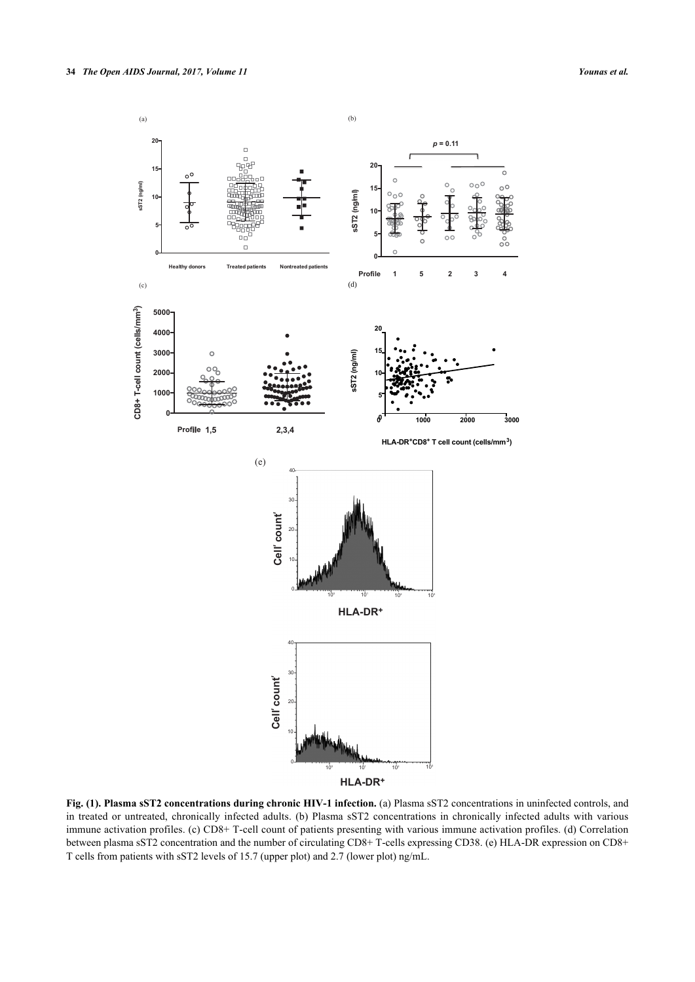

**Fig. (1). Plasma sST2 concentrations during chronic HIV-1 infection.** (a) Plasma sST2 concentrations in uninfected controls, and in treated or untreated, chronically infected adults. (b) Plasma sST2 concentrations in chronically infected adults with various immune activation profiles. (c) CD8+ T-cell count of patients presenting with various immune activation profiles. (d) Correlation between plasma sST2 concentration and the number of circulating CD8+ T-cells expressing CD38. (e) HLA-DR expression on CD8+ T cells from patients with sST2 levels of 15.7 (upper plot) and 2.7 (lower plot) ng/mL.